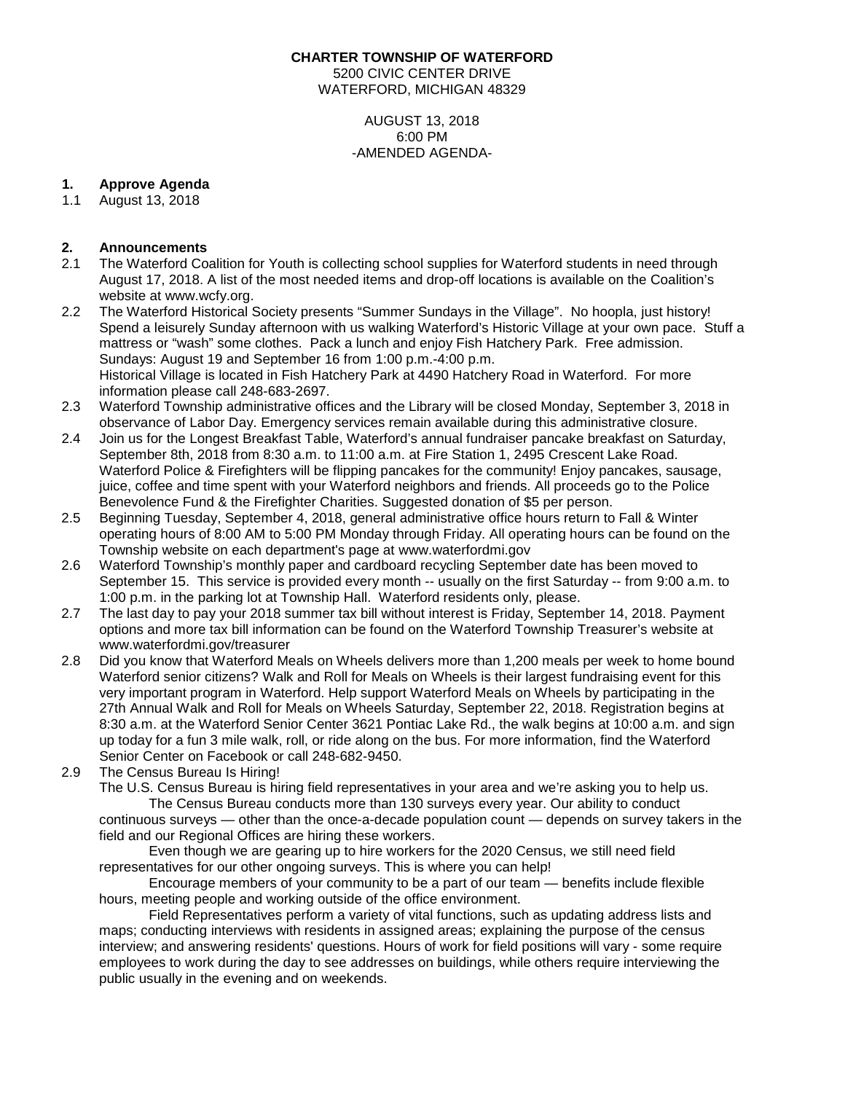#### **CHARTER TOWNSHIP OF WATERFORD**

5200 CIVIC CENTER DRIVE WATERFORD, MICHIGAN 48329

> AUGUST 13, 2018 6:00 PM -AMENDED AGENDA-

# **1. Approve Agenda**

1.1 August 13, 2018

# **2. Announcements**

- 2.1 The Waterford Coalition for Youth is collecting school supplies for Waterford students in need through August 17, 2018. A list of the most needed items and drop-off locations is available on the Coalition's website at www.wcfy.org.
- 2.2 The Waterford Historical Society presents "Summer Sundays in the Village". No hoopla, just history! Spend a leisurely Sunday afternoon with us walking Waterford's Historic Village at your own pace. Stuff a mattress or "wash" some clothes. Pack a lunch and enjoy Fish Hatchery Park. Free admission. Sundays: August 19 and September 16 from 1:00 p.m.-4:00 p.m. Historical Village is located in Fish Hatchery Park at 4490 Hatchery Road in Waterford. For more information please call 248-683-2697.
- 2.3 Waterford Township administrative offices and the Library will be closed Monday, September 3, 2018 in observance of Labor Day. Emergency services remain available during this administrative closure.
- 2.4 Join us for the Longest Breakfast Table, Waterford's annual fundraiser pancake breakfast on Saturday, September 8th, 2018 from 8:30 a.m. to 11:00 a.m. at Fire Station 1, 2495 Crescent Lake Road. Waterford Police & Firefighters will be flipping pancakes for the community! Enjoy pancakes, sausage, juice, coffee and time spent with your Waterford neighbors and friends. All proceeds go to the Police Benevolence Fund & the Firefighter Charities. Suggested donation of \$5 per person.
- 2.5 Beginning Tuesday, September 4, 2018, general administrative office hours return to Fall & Winter operating hours of 8:00 AM to 5:00 PM Monday through Friday. All operating hours can be found on the Township website on each department's page at [www.waterfordmi.gov](http://www.waterfordmi.gov/)
- 2.6 Waterford Township's monthly paper and cardboard recycling September date has been moved to September 15. This service is provided every month -- usually on the first Saturday -- from 9:00 a.m. to 1:00 p.m. in the parking lot at Township Hall. Waterford residents only, please.
- 2.7 The last day to pay your 2018 summer tax bill without interest is Friday, September 14, 2018. Payment options and more tax bill information can be found on the Waterford Township Treasurer's website at [www.waterfordmi.gov/treasurer](http://www.waterfordmi.gov/treasurer)
- 2.8 Did you know that Waterford Meals on Wheels delivers more than 1,200 meals per week to home bound Waterford senior citizens? Walk and Roll for Meals on Wheels is their largest fundraising event for this very important program in Waterford. Help support Waterford Meals on Wheels by participating in the 27th Annual Walk and Roll for Meals on Wheels Saturday, September 22, 2018. Registration begins at 8:30 a.m. at the Waterford Senior Center 3621 Pontiac Lake Rd., the walk begins at 10:00 a.m. and sign up today for a fun 3 mile walk, roll, or ride along on the bus. For more information, find the Waterford Senior Center on Facebook or call 248-682-9450.
- 2.9 The Census Bureau Is Hiring!
	- The U.S. Census Bureau is hiring field representatives in your area and we're asking you to help us. The Census Bureau conducts more than 130 surveys every year. Our ability to conduct

continuous surveys — other than the once-a-decade population count — depends on survey takers in the field and our Regional Offices are hiring these workers.

Even though we are gearing up to hire workers for the 2020 Census, we still need field representatives for our other ongoing surveys. This is where you can help!

Encourage members of your community to be a part of our team — benefits include flexible hours, meeting people and working outside of the office environment.

Field Representatives perform a variety of vital functions, such as updating address lists and maps; conducting interviews with residents in assigned areas; explaining the purpose of the census interview; and answering residents' questions. Hours of work for field positions will vary - some require employees to work during the day to see addresses on buildings, while others require interviewing the public usually in the evening and on weekends.